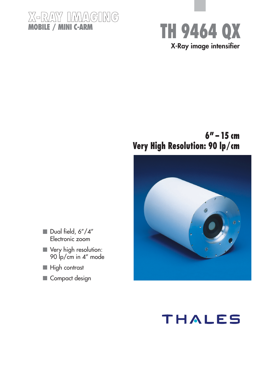



## **6" – 15 cm Very High Resolution: 90 lp/cm**



- Dual field, 6"/4" Electronic zoom
- **Very high resolution:** 90 lp/cm in 4" mode
- High contrast
- Compact design